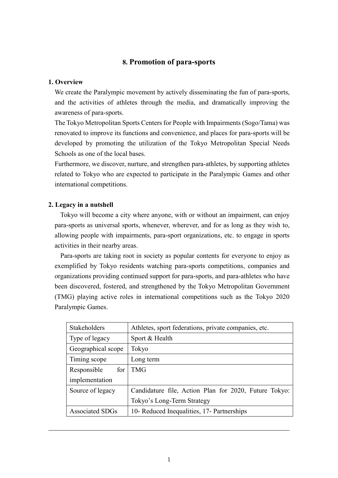# **8. Promotion of para-sports**

### **1. Overview**

We create the Paralympic movement by actively disseminating the fun of para-sports, and the activities of athletes through the media, and dramatically improving the awareness of para-sports.

The Tokyo Metropolitan Sports Centers for People with Impairments (Sogo/Tama) was renovated to improve its functions and convenience, and places for para-sports will be developed by promoting the utilization of the Tokyo Metropolitan Special Needs Schools as one of the local bases.

Furthermore, we discover, nurture, and strengthen para-athletes, by supporting athletes related to Tokyo who are expected to participate in the Paralympic Games and other international competitions.

#### **2. Legacy in a nutshell**

Tokyo will become a city where anyone, with or without an impairment, can enjoy para-sports as universal sports, whenever, wherever, and for as long as they wish to, allowing people with impairments, para-sport organizations, etc. to engage in sports activities in their nearby areas.

Para-sports are taking root in society as popular contents for everyone to enjoy as exemplified by Tokyo residents watching para-sports competitions, companies and organizations providing continued support for para-sports, and para-athletes who have been discovered, fostered, and strengthened by the Tokyo Metropolitan Government (TMG) playing active roles in international competitions such as the Tokyo 2020 Paralympic Games.

| Stakeholders       | Athletes, sport federations, private companies, etc.  |
|--------------------|-------------------------------------------------------|
| Type of legacy     | Sport & Health                                        |
| Geographical scope | Tokyo                                                 |
| Timing scope       | Long term                                             |
| Responsible<br>for | <b>TMG</b>                                            |
| implementation     |                                                       |
| Source of legacy   | Candidature file, Action Plan for 2020, Future Tokyo: |
|                    | Tokyo's Long-Term Strategy                            |
| Associated SDGs    | 10- Reduced Inequalities, 17- Partnerships            |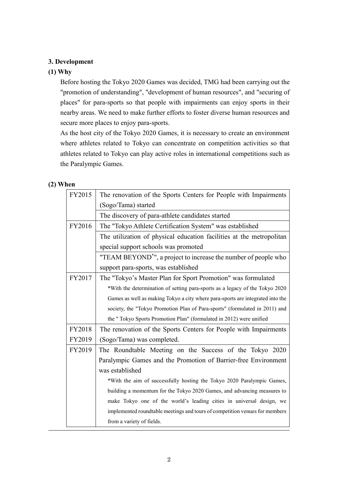## **3. Development**

## **(1) Why**

Before hosting the Tokyo 2020 Games was decided, TMG had been carrying out the "promotion of understanding", "development of human resources", and "securing of places" for para-sports so that people with impairments can enjoy sports in their nearby areas. We need to make further efforts to foster diverse human resources and secure more places to enjoy para-sports.

As the host city of the Tokyo 2020 Games, it is necessary to create an environment where athletes related to Tokyo can concentrate on competition activities so that athletes related to Tokyo can play active roles in international competitions such as the Paralympic Games.

## **(2) When**

| FY2015 | The renovation of the Sports Centers for People with Impairments               |  |  |
|--------|--------------------------------------------------------------------------------|--|--|
|        | (Sogo/Tama) started                                                            |  |  |
|        | The discovery of para-athlete candidates started                               |  |  |
| FY2016 | The "Tokyo Athlete Certification System" was established                       |  |  |
|        | The utilization of physical education facilities at the metropolitan           |  |  |
|        | special support schools was promoted                                           |  |  |
|        | "TEAM BEYOND <sup>*</sup> ", a project to increase the number of people who    |  |  |
|        | support para-sports, was established                                           |  |  |
| FY2017 | The "Tokyo's Master Plan for Sport Promotion" was formulated                   |  |  |
|        | *With the determination of setting para-sports as a legacy of the Tokyo 2020   |  |  |
|        | Games as well as making Tokyo a city where para-sports are integrated into the |  |  |
|        | society, the "Tokyo Promotion Plan of Para-sports" (formulated in 2011) and    |  |  |
|        | the " Tokyo Sports Promotion Plan" (formulated in 2012) were unified           |  |  |
| FY2018 | The renovation of the Sports Centers for People with Impairments               |  |  |
| FY2019 | (Sogo/Tama) was completed.                                                     |  |  |
| FY2019 | The Roundtable Meeting on the Success of the Tokyo 2020                        |  |  |
|        | Paralympic Games and the Promotion of Barrier-free Environment                 |  |  |
|        | was established                                                                |  |  |
|        | *With the aim of successfully hosting the Tokyo 2020 Paralympic Games,         |  |  |
|        | building a momentum for the Tokyo 2020 Games, and advancing measures to        |  |  |
|        | make Tokyo one of the world's leading cities in universal design, we           |  |  |
|        | implemented roundtable meetings and tours of competition venues for members    |  |  |
|        | from a variety of fields.                                                      |  |  |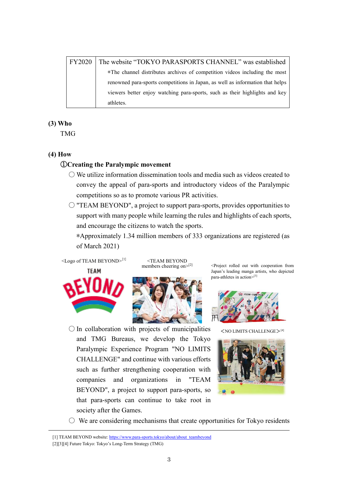| <b>FY2020</b> | The website "TOKYO PARASPORTS CHANNEL" was established                        |
|---------------|-------------------------------------------------------------------------------|
|               | *The channel distributes archives of competition videos including the most    |
|               | renowned para-sports competitions in Japan, as well as information that helps |
|               | viewers better enjoy watching para-sports, such as their highlights and key   |
|               | athletes.                                                                     |

## **(3) Who**

TMG

## **(4) How**

## ①**Creating the Paralympic movement**

- $\bigcirc$  We utilize information dissemination tools and media such as videos created to convey the appeal of para-sports and introductory videos of the Paralympic competitions so as to promote various PR activities.
- "TEAM BEYOND", a project to support para-sports, provides opportunities to support with many people while learning the rules and highlights of each sports, and encourage the citizens to watch the sports.

∗Approximately 1.34 million members of 333 organizations are registered (as of March 2021)



 $\leq$ Logo of TEAM BEYOND><sup>[1]</sup>  $\leq$ TEAM BEYOND<br>members cheering on><sup>[2]</sup>



 $\bigcirc$  In collaboration with projects of municipalities and TMG Bureaus, we develop the Tokyo Paralympic Experience Program "NO LIMITS CHALLENGE" and continue with various efforts such as further strengthening cooperation with companies and organizations in "TEAM BEYOND", a project to support para-sports, so that para-sports can continue to take root in society after the Games.

<Project rolled out with cooperation from Japan's leading manga artists, who depicted para-athletes in action> [3]



 $<$ NO LIMITS CHALLENGE $>$ <sup>[4]</sup>



 $\circ$  We are considering mechanisms that create opportunities for Tokyo residents

[1] TEAM BEYOND website[: https://www.para-sports.tokyo/about/about\\_teambeyond](https://www.para-sports.tokyo/about/about_teambeyond)

[2][3][4] Future Tokyo: Tokyo's Long-Term Strategy (TMG)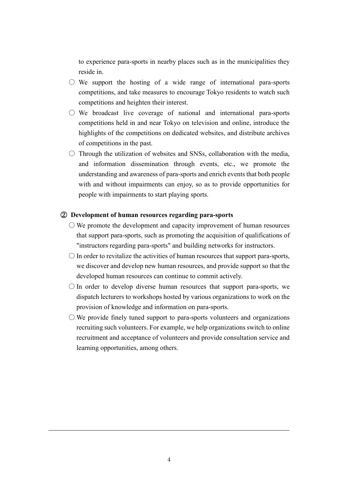to experience para-sports in nearby places such as in the municipalities they reside in.

- $\circ$  We support the hosting of a wide range of international para-sports competitions, and take measures to encourage Tokyo residents to watch such competitions and heighten their interest.
- $\circ$  We broadcast live coverage of national and international para-sports competitions held in and near Tokyo on television and online, introduce the highlights of the competitions on dedicated websites, and distribute archives of competitions in the past.
- $\circ$  Through the utilization of websites and SNSs, collaboration with the media, and information dissemination through events, etc., we promote the understanding and awareness of para-sports and enrich events that both people with and without impairments can enjoy, so as to provide opportunities for people with impairments to start playing sports.

### ② **Development of human resources regarding para-sports**

- $\bigcirc$  We promote the development and capacity improvement of human resources that support para-sports, such as promoting the acquisition of qualifications of "instructors regarding para-sports" and building networks for instructors.
- $\bigcirc$  In order to revitalize the activities of human resources that support para-sports, we discover and develop new human resources, and provide support so that the developed human resources can continue to commit actively.
- $\bigcirc$  In order to develop diverse human resources that support para-sports, we dispatch lecturers to workshops hosted by various organizations to work on the provision of knowledge and information on para-sports.
- $\circlearrowright$  We provide finely tuned support to para-sports volunteers and organizations recruiting such volunteers. For example, we help organizations switch to online recruitment and acceptance of volunteers and provide consultation service and learning opportunities, among others.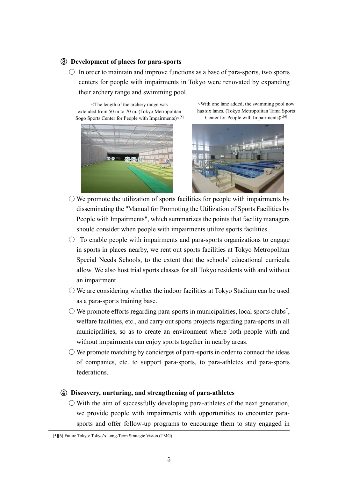### ③ **Development of places for para-sports**

 $\circ$  In order to maintain and improve functions as a base of para-sports, two sports centers for people with impairments in Tokyo were renovated by expanding their archery range and swimming pool.

<The length of the archery range was extended from 50 m to 70 m. (Tokyo Metropolitan Sogo Sports Center for People with Impairments)>[5]



<With one lane added, the swimming pool now has six lanes. (Tokyo Metropolitan Tama Sports Center for People with Impairments)>[6]



- $\bigcirc$  We promote the utilization of sports facilities for people with impairments by disseminating the "Manual for Promoting the Utilization of Sports Facilities by People with Impairments", which summarizes the points that facility managers should consider when people with impairments utilize sports facilities.
- $\circ$  To enable people with impairments and para-sports organizations to engage in sports in places nearby, we rent out sports facilities at Tokyo Metropolitan Special Needs Schools, to the extent that the schools' educational curricula allow. We also host trial sports classes for all Tokyo residents with and without an impairment.
- $\bigcirc$  We are considering whether the indoor facilities at Tokyo Stadium can be used as a para-sports training base.
- $\bigcirc$  We promote efforts regarding para-sports in municipalities, local sports clubs<sup>\*</sup>, welfare facilities, etc., and carry out sports projects regarding para-sports in all municipalities, so as to create an environment where both people with and without impairments can enjoy sports together in nearby areas.
- $\bigcirc$  We promote matching by concierges of para-sports in order to connect the ideas of companies, etc. to support para-sports, to para-athletes and para-sports federations.

## ④ **Discovery, nurturing, and strengthening of para-athletes**

 $\circ$  With the aim of successfully developing para-athletes of the next generation, we provide people with impairments with opportunities to encounter parasports and offer follow-up programs to encourage them to stay engaged in

<sup>[5][6]</sup> Future Tokyo: Tokyo's Long-Term Strategic Vision (TMG)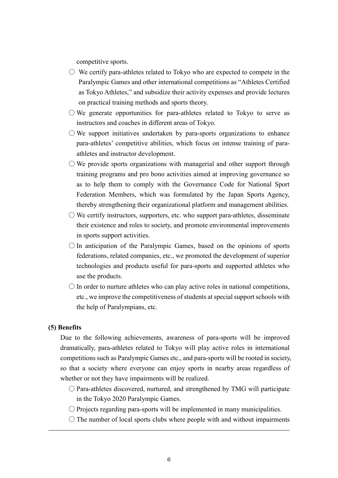competitive sports.

- $\circ$  We certify para-athletes related to Tokyo who are expected to compete in the Paralympic Games and other international competitions as "Athletes Certified as Tokyo Athletes," and subsidize their activity expenses and provide lectures on practical training methods and sports theory.
- $\bigcirc$  We generate opportunities for para-athletes related to Tokyo to serve as instructors and coaches in different areas of Tokyo.
- $\circlearrowright$  We support initiatives undertaken by para-sports organizations to enhance para-athletes' competitive abilities, which focus on intense training of paraathletes and instructor development.
- $\bigcirc$  We provide sports organizations with managerial and other support through training programs and pro bono activities aimed at improving governance so as to help them to comply with the Governance Code for National Sport Federation Members, which was formulated by the Japan Sports Agency, thereby strengthening their organizational platform and management abilities.
- $\circlearrowright$  We certify instructors, supporters, etc. who support para-athletes, disseminate their existence and roles to society, and promote environmental improvements in sports support activities.
- $\bigcirc$  In anticipation of the Paralympic Games, based on the opinions of sports federations, related companies, etc., we promoted the development of superior technologies and products useful for para-sports and supported athletes who use the products.
- $\bigcirc$  In order to nurture athletes who can play active roles in national competitions, etc., we improve the competitiveness of students at special support schools with the help of Paralympians, etc.

### **(5) Benefits**

Due to the following achievements, awareness of para-sports will be improved dramatically, para-athletes related to Tokyo will play active roles in international competitions such as Paralympic Games etc., and para-sports will be rooted in society, so that a society where everyone can enjoy sports in nearby areas regardless of whether or not they have impairments will be realized.

- $\bigcirc$  Para-athletes discovered, nurtured, and strengthened by TMG will participate in the Tokyo 2020 Paralympic Games.
- $\bigcirc$  Projects regarding para-sports will be implemented in many municipalities.
- $\bigcirc$  The number of local sports clubs where people with and without impairments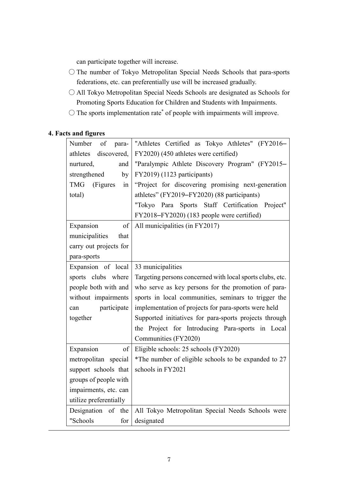can participate together will increase.

- The number of Tokyo Metropolitan Special Needs Schools that para-sports federations, etc. can preferentially use will be increased gradually.
- All Tokyo Metropolitan Special Needs Schools are designated as Schools for Promoting Sports Education for Children and Students with Impairments.
- $\bigcirc$  The sports implementation rate\* of people with impairments will improve.

# **4. Facts and figures**

| Number<br><sub>of</sub><br>para- | "Athletes Certified as Tokyo Athletes" (FY2016-           |
|----------------------------------|-----------------------------------------------------------|
| discovered,<br>athletes          | FY2020) (450 athletes were certified)                     |
| nurtured,<br>and                 | "Paralympic Athlete Discovery Program" (FY2015-           |
| strengthened<br>by               | FY2019) (1123 participants)                               |
| <b>TMG</b><br>(Figures<br>in     | "Project for discovering promising next-generation        |
| total)                           | athletes" (FY2019-FY2020) (88 participants)               |
|                                  | "Tokyo Para Sports Staff Certification<br>Project"        |
|                                  | FY2018-FY2020) (183 people were certified)                |
| Expansion<br>of                  | All municipalities (in FY2017)                            |
| municipalities<br>that           |                                                           |
| carry out projects for           |                                                           |
| para-sports                      |                                                           |
| Expansion of local               | 33 municipalities                                         |
| sports clubs where               | Targeting persons concerned with local sports clubs, etc. |
| people both with and             | who serve as key persons for the promotion of para-       |
| without impairments              | sports in local communities, seminars to trigger the      |
| participate<br>can               | implementation of projects for para-sports were held      |
| together                         | Supported initiatives for para-sports projects through    |
|                                  | the Project for Introducing Para-sports in Local          |
|                                  | Communities (FY2020)                                      |
| Expansion<br>of                  | Eligible schools: 25 schools (FY2020)                     |
| metropolitan special             | *The number of eligible schools to be expanded to 27      |
| support schools that             | schools in FY2021                                         |
| groups of people with            |                                                           |
| impairments, etc. can            |                                                           |
| utilize preferentially           |                                                           |
| Designation of the               | All Tokyo Metropolitan Special Needs Schools were         |
| "Schools<br>for                  | designated                                                |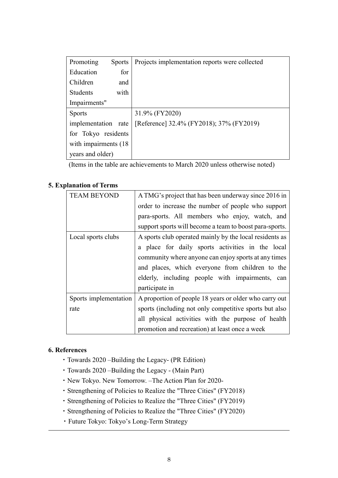| Promoting             | <b>Sports</b> | Projects implementation reports were collected |
|-----------------------|---------------|------------------------------------------------|
| Education             | for           |                                                |
| Children              | and           |                                                |
| <b>Students</b>       | with          |                                                |
| Impairments"          |               |                                                |
| <b>Sports</b>         |               | 31.9% (FY2020)                                 |
| implementation rate   |               | [Reference] 32.4% (FY2018); 37% (FY2019)       |
| for Tokyo residents   |               |                                                |
| with impairments (18) |               |                                                |
| years and older)      |               |                                                |

(Items in the table are achievements to March 2020 unless otherwise noted)

# **5. Explanation of Terms**

| <b>TEAM BEYOND</b>    | A TMG's project that has been underway since 2016 in    |
|-----------------------|---------------------------------------------------------|
|                       | order to increase the number of people who support      |
|                       | para-sports. All members who enjoy, watch, and          |
|                       | support sports will become a team to boost para-sports. |
| Local sports clubs    | A sports club operated mainly by the local residents as |
|                       | a place for daily sports activities in the local        |
|                       | community where anyone can enjoy sports at any times    |
|                       | and places, which everyone from children to the         |
|                       | elderly, including people with impairments, can         |
|                       | participate in                                          |
| Sports implementation | A proportion of people 18 years or older who carry out  |
| rate                  | sports (including not only competitive sports but also  |
|                       | all physical activities with the purpose of health      |
|                       | promotion and recreation) at least once a week          |

## **6. References**

- ・Towards 2020 –Building the Legacy- (PR Edition)
- ・Towards 2020 –Building the Legacy (Main Part)
- ・New Tokyo. New Tomorrow. –The Action Plan for 2020-
- ・Strengthening of Policies to Realize the "Three Cities" (FY2018)
- ・Strengthening of Policies to Realize the "Three Cities" (FY2019)
- ・Strengthening of Policies to Realize the "Three Cities" (FY2020)
- ・Future Tokyo: Tokyo's Long-Term Strategy